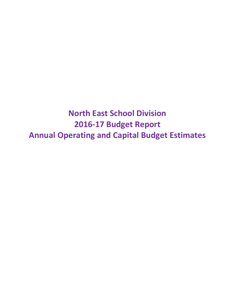**North East School Division 2016-17 Budget Report Annual Operating and Capital Budget Estimates**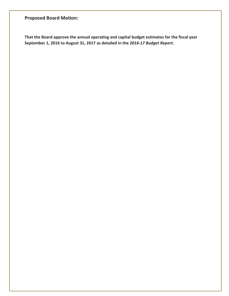# **Proposed Board Motion:**

**That the Board approve the annual operating and capital budget estimates for the fiscal year September 1, 2016 to August 31, 2017 as detailed in the** *2016-17 Budget Report***.**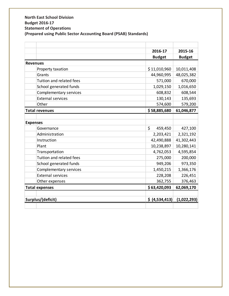## **North East School Division Budget 2016-17 Statement of Operations (Prepared using Public Sector Accounting Board (PSAB) Standards)**

|                       |                          | 2016-17            | 2015-16       |
|-----------------------|--------------------------|--------------------|---------------|
|                       |                          | <b>Budget</b>      | <b>Budget</b> |
| <b>Revenues</b>       |                          |                    |               |
|                       | Property taxation        | \$11,010,960       | 10,011,408    |
| Grants                |                          | 44,960,995         | 48,025,382    |
|                       | Tuition and related fees | 571,000            | 670,000       |
|                       | School generated funds   | 1,029,150          | 1,016,650     |
|                       | Complementary services   | 608,832            | 608,544       |
|                       | <b>External services</b> | 130,143            | 135,693       |
| Other                 |                          | 574,600            | 579,200       |
| <b>Total revenues</b> |                          | \$58,885,680       | 61,046,877    |
|                       |                          |                    |               |
| <b>Expenses</b>       |                          |                    |               |
| Governance            |                          | $\zeta$<br>459,450 | 427,100       |
|                       | Administration           | 2,203,421          | 2,321,192     |
| Instruction           |                          | 42,490,888         | 41,302,443    |
| Plant                 |                          | 10,238,897         | 10,280,141    |
|                       | Transportation           | 4,762,053          | 4,595,854     |
|                       | Tuition and related fees | 275,000            | 200,000       |
|                       | School generated funds   | 949,206            | 973,350       |
|                       | Complementary services   | 1,450,215          | 1,366,176     |
|                       | <b>External services</b> | 228,208            | 226,451       |
|                       | Other expenses           | 362,755            | 376,463       |
| <b>Total expenses</b> |                          | \$63,420,093       | 62,069,170    |
|                       |                          |                    |               |
| Surplus/(deficit)     |                          | \$ (4,534,413)     | (1,022,293)   |
|                       |                          |                    |               |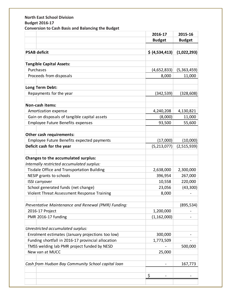## **North East School Division Budget 2016-17 Conversion to Cash Basis and Balancing the Budget**

|                                                     | 2016-17        | 2015-16       |
|-----------------------------------------------------|----------------|---------------|
|                                                     | <b>Budget</b>  | <b>Budget</b> |
|                                                     |                |               |
| <b>PSAB deficit</b>                                 | \$ (4,534,413) | (1,022,293)   |
|                                                     |                |               |
| <b>Tangible Capital Assets:</b>                     |                |               |
| Purchases                                           | (4,652,833)    | (5,363,459)   |
| Proceeds from disposals                             | 8,000          | 11,000        |
| Long Term Debt:                                     |                |               |
| Repayments for the year                             | (342, 539)     | (328, 608)    |
|                                                     |                |               |
| Non-cash items:                                     |                |               |
| Amortization expense                                | 4,240,208      | 4,130,821     |
| Gain on disposals of tangible capital assets        | (8,000)        | 11,000        |
| Employee Future Benefits expenses                   | 93,500         | 55,600        |
|                                                     |                |               |
| Other cash requirements:                            |                |               |
| Employee Future Benefits expected payments          | (17,000)       | (10,000)      |
| Deficit cash for the year                           | (5,213,077)    | (2,515,939)   |
|                                                     |                |               |
| Changes to the accumulated surplus:                 |                |               |
| Internally restricted accumulated surplus:          |                |               |
| Tisdale Office and Transportation Building          | 2,638,000      | 2,300,000     |
| NESIP grants to schools                             | 396,954        | 267,000       |
| <b>ISSI carryover</b>                               | 10,558         | 220,000       |
| School generated funds (net change)                 | 23,056         | (43,300)      |
| Violent Threat Assessment Response Training         | 8,000          |               |
| Preventative Maintenance and Renewal (PMR) Funding: |                | (895, 534)    |
| 2016-17 Project                                     | 1,200,000      |               |
| PMR 2016-17 funding                                 | (1, 162, 000)  |               |
|                                                     |                |               |
| Unrestricted accumulated surplus:                   |                |               |
| Enrolment estimates (January projections too low)   | 300,000        |               |
| Funding shortfall in 2016-17 provincial allocation  | 1,773,509      |               |
| TMSS welding lab PMR project funded by NESD         |                | 500,000       |
| New van at MUCC                                     | 25,000         |               |
| Cash from Hudson Bay Community School capital loan  |                | 167,773       |
|                                                     |                |               |
|                                                     | \$             |               |
|                                                     |                |               |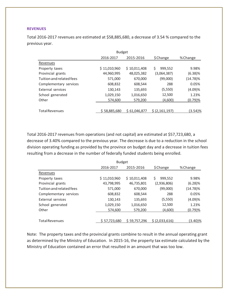#### **REVENUES**

Total 2016-2017 revenues are estimated at \$58,885,680, a decrease of 3.54 % compared to the previous year.

|                          | <b>Budget</b> |              |              |             |  |  |
|--------------------------|---------------|--------------|--------------|-------------|--|--|
|                          | 2016-2017     | 2015-2016    | \$ Change    | % Change    |  |  |
| Revenues                 |               |              |              |             |  |  |
| Property taxes           | \$11,010,960  | \$10,011,408 | Ś<br>999,552 | 9.98%       |  |  |
| Provincial grants        | 44,960,995    | 48,025,382   | (3,064,387)  | $(6.38)\%$  |  |  |
| Tuition and related fees | 571,000       | 670,000      | (99,000)     | $(14.78)\%$ |  |  |
| Complementary services   | 608,832       | 608,544      | 288          | 0.05%       |  |  |
| External services        | 130,143       | 135,693      | (5,550)      | (4.09)%     |  |  |
| School generated         | 1,029,150     | 1,016,650    | 12,500       | 1.23%       |  |  |
| Other                    | 574,600       | 579,200      | (4,600)      | (0.79)%     |  |  |
| <b>Total Revenues</b>    | \$58,885,680  | \$61,046,877 | S(2.161.197) | (3.54)%     |  |  |

Total 2016-2017 revenues from operations (and not capital) are estimated at \$57,723,680, a decrease of 3.40% compared to the previous year. The decrease is due to a reduction in the school division operating funding as provided by the province on budget day and a decrease in tuition fees resulting from a decrease in the number of federally funded students being enrolled.

|                          | <b>Budget</b> |              |                |             |  |  |  |
|--------------------------|---------------|--------------|----------------|-------------|--|--|--|
|                          | 2016-2017     | 2015-2016    | \$Change       | % Change    |  |  |  |
| Revenues                 |               |              |                |             |  |  |  |
| Property taxes           | \$11,010,960  | \$10,011,408 | 999,552<br>Ś   | 9.98%       |  |  |  |
| Provincial grants        | 43,798,995    | 46,735,801   | (2,936,806)    | $(6.28)\%$  |  |  |  |
| Tuition and related fees | 571,000       | 670,000      | (99,000)       | $(14.78)\%$ |  |  |  |
| Complementary services   | 608,832       | 608,544      | 288            | 0.05%       |  |  |  |
| External services        | 130,143       | 135,693      | (5,550)        | (4.09)%     |  |  |  |
| School generated         | 1,029,150     | 1,016,650    | 12,500         | 1.23%       |  |  |  |
| Other                    | 574,600       | 579,200      | (4,600)        | $(0.79)$ %  |  |  |  |
|                          |               |              |                |             |  |  |  |
| <b>Total Revenues</b>    | \$57,723,680  | \$59,757.296 | \$ (2.033.616) | (3.40)%     |  |  |  |

Note: The property taxes and the provincial grants combine to result in the annual operating grant as determined by the Ministry of Education. In 2015-16, the property tax estimate calculated by the Ministry of Education contained an error that resulted in an amount that was too low.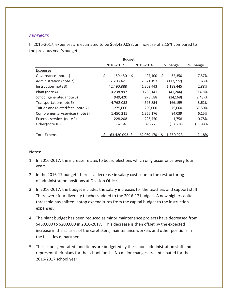### *EXPENSES*

In 2016-2017, expenses are estimated to be \$63,420,093, an increase of 2.18% compared to the previous year's budget.

|                                   | <b>Budget</b> |               |    |            |   |            |            |
|-----------------------------------|---------------|---------------|----|------------|---|------------|------------|
|                                   |               | 2016-2017     |    | 2015-2016  |   | \$Change   | % Change   |
| Expenses                          |               |               |    |            |   |            |            |
| Governance (note 1)               | \$            | 459,450       | \$ | 427,100    | Ś | 32,350     | 7.57%      |
| Administration (note 2)           |               | 2,203,421     |    | 2,321,193  |   | (117, 772) | (5.07)%    |
| Instruction (note 3)              |               | 42,490,888    |    | 41,302,443 |   | 1,188,445  | 2.88%      |
| Plant (note 4)                    |               | 10,238,897    |    | 10,280,141 |   | (41, 244)  | $(0.40)$ % |
| School generated (note 5)         |               | 949,420       |    | 973,588    |   | (24, 168)  | (2.48)%    |
| Transportation (note 6)           |               | 4,762,053     |    | 4,595,854  |   | 166,199    | 3.62%      |
| Tuition and related fees (note 7) |               | 275,000       |    | 200,000    |   | 75,000     | 37.50%     |
| Complementary services (note8)    |               | 1,450,215     |    | 1,366,176  |   | 84,039     | 6.15%      |
| External services (note 9)        |               | 228,208       |    | 226,450    |   | 1,758      | 0.78%      |
| Other (note 10)                   |               | 362,541       |    | 376,225    |   | (13, 684)  | $(3.64)$ % |
|                                   |               |               |    |            |   |            |            |
| <b>Total Expenses</b>             |               | 63,420,093 \$ |    | 62,069,170 |   | 1,350,923  | 2.18%      |

#### Notes:

- 1. In 2016-2017, the increase relates to board elections which only occur once every four years.
- 2. In the 2016-17 budget, there is a decrease in salary costs due to the restructuring of administration positions at Division Office.
- 3. In 2016-2017, the budget includes the salary increases for the teachers and support staff. There were four diversity teachers added to the 2016-17 budget. A new higher capital threshold has shifted laptop expenditures from the capital budget to the instruction expenses.
- 4. The plant budget has been reduced as minor maintenance projects have decreased from \$450,000 to \$200,000 in 2016-2017. This decrease is then offset by the expected increase in the salaries of the caretakers, maintenance workers and other positions in the facilities department.
- 5. The school generated fund items are budgeted by the school administration staff and represent their plans for the school funds. No major changes are anticipated for the 2016-2017 school year.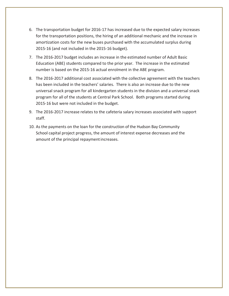- 6. The transportation budget for 2016-17 has increased due to the expected salary increases for the transportation positions, the hiring of an additional mechanic and the increase in amortization costs for the new buses purchased with the accumulated surplus during 2015-16 (and not included in the 2015-16 budget).
- 7. The 2016-2017 budget includes an increase in the estimated number of Adult Basic Education (ABE) students compared to the prior year. The increase in the estimated number is based on the 2015-16 actual enrolment in the ABE program.
- 8. The 2016-2017 additional cost associated with the collective agreement with the teachers has been included in the teachers' salaries. There is also an increase due to the new universal snack program for all kindergarten students in the division and a universal snack program for all of the students at Central Park School. Both programs started during 2015-16 but were not included in the budget.
- 9. The 2016-2017 increase relates to the cafeteria salary increases associated with support staff.
- 10. As the payments on the loan for the construction of the Hudson Bay Community School capital project progress, the amount of interest expense decreases and the amount of the principal repayment increases.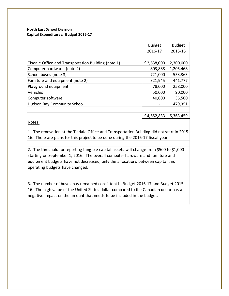#### **North East School Division Capital Expenditures: Budget 2016-17**

|                                                     | <b>Budget</b> | <b>Budget</b> |
|-----------------------------------------------------|---------------|---------------|
|                                                     | 2016-17       | 2015-16       |
|                                                     |               |               |
| Tisdale Office and Transportation Building (note 1) | \$2,638,000   | 2,300,000     |
| Computer hardware (note 2)                          | 803,888       | 1,205,468     |
| School buses (note 3)                               | 721,000       | 553,363       |
| Furniture and equipment (note 2)                    | 321,945       | 441,777       |
| Playground equipment                                | 78,000        | 258,000       |
| Vehicles                                            | 50,000        | 90,000        |
| Computer software                                   | 40,000        | 35,500        |
| <b>Hudson Bay Community School</b>                  |               | 479,351       |
|                                                     |               |               |
|                                                     | \$4,652,833   | 5,363,459     |
| Notes:                                              |               |               |

1. The renovation at the Tisdale Office and Transportation Building did not start in 2015- 16. There are plans for this project to be done during the 2016-17 fiscal year.

2. The threshold for reporting tangible capital assets will change from \$500 to \$1,000 starting on September 1, 2016. The overall computer hardware and furniture and equipment budgets have not decreased, only the allocations between capital and operating budgets have changed.

3. The number of buses has remained consistent in Budget 2016-17 and Budget 2015- 16. The high value of the United States dollar compared to the Canadian dollar has a negative impact on the amount that needs to be included in the budget.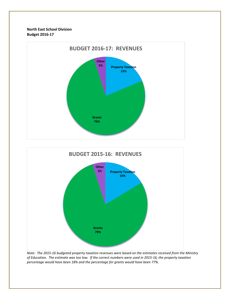**North East School Division Budget 2016-17**





*Note: The 2015-16 budgeted property taxation revenues were based on the estimates received from the Ministry of Education. The estimate was too low. If the correct numbers were used in 2015-16, the property taxation percentage would have been 18% and the percentage for grants would have been 77%.*